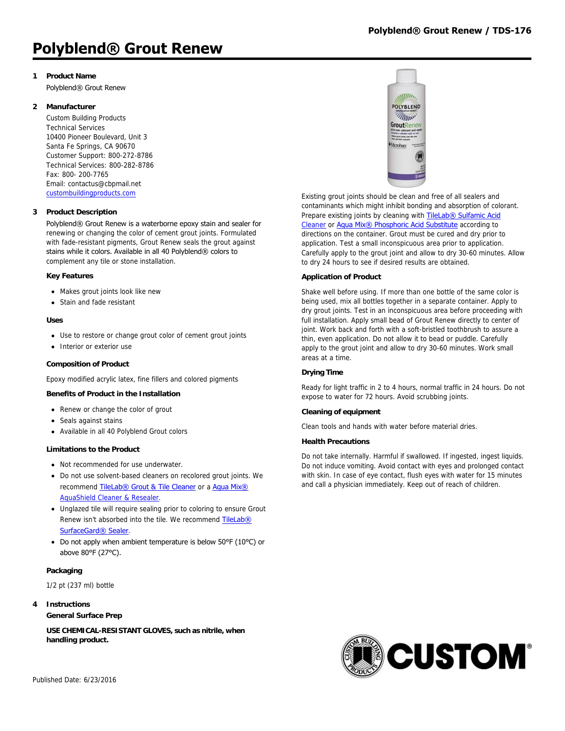# **1 Product Name**

Polyblend® Grout Renew

# **2 Manufacturer**

Custom Building Products Technical Services 10400 Pioneer Boulevard, Unit 3 Santa Fe Springs, CA 90670 Customer Support: 800-272-8786 Technical Services: 800-282-8786 Fax: 800- 200-7765 Email: contactus@cbpmail.net [custombuildingproducts.com](http://www.custombuildingproducts.com)

# **3 Product Description**

Polyblend® Grout Renew is a waterborne epoxy stain and sealer for renewing or changing the color of cement grout joints. Formulated with fade-resistant pigments, Grout Renew seals the grout against stains while it colors. Available in all 40 Polyblend® colors to complement any tile or stone installation.

#### **Key Features**

- Makes grout joints look like new
- Stain and fade resistant

#### **Uses**

- Use to restore or change grout color of cement grout joints
- Interior or exterior use

### **Composition of Product**

Epoxy modified acrylic latex, fine fillers and colored pigments

#### **Benefits of Product in the Installation**

- Renew or change the color of grout
- Seals against stains
- Available in all 40 Polyblend Grout colors

#### **Limitations to the Product**

- Not recommended for use underwater.
- Do not use solvent-based cleaners on recolored grout joints. We recommend [TileLab® Grout & Tile Cleaner](http://www.custombuildingproducts.com:80/products/aqua-mix/cleaners/aqua-mix-aquashield-cleaner-resealer.aspx) or a Aqua Mix® AquaShield Cleaner & Resealer.
- Unglazed tile will require sealing prior to coloring to ensure Grout [Renew isn't absorbed into the tile. We recommend](http://www.custombuildingproducts.com:80/products/care-maintenance/sealers/tilelab/tilelab-surfacegard-sealer.aspx) TileLab® SurfaceGard® Sealer.
- Do not apply when ambient temperature is below 50°F (10°C) or above 80°F (27°C).

## **Packaging**

1/2 pt (237 ml) bottle

## **4 Instructions**

**General Surface Prep**

**USE CHEMICAL-RESISTANT GLOVES, such as nitrile, when handling product.**



Existing grout joints should be clean and free of all sealers and contaminants which might inhibit bonding and absorption of colorant. [Prepare existing joints by cleaning with](http://www.custombuildingproducts.com:80/products/care-maintenance/cleaners/tilelab/tilelab-sulfamic-acid-cleaner.aspx) TileLab® Sulfamic Acid Cleaner or [Aqua Mix® Phosphoric Acid Substitute](http://www.custombuildingproducts.com:80/products/aqua-mix/problem-solvers/aqua-mix-phosphoric-acid-substitute.aspx) according to directions on the container. Grout must be cured and dry prior to application. Test a small inconspicuous area prior to application. Carefully apply to the grout joint and allow to dry 30-60 minutes. Allow to dry 24 hours to see if desired results are obtained.

#### **Application of Product**

Shake well before using. If more than one bottle of the same color is being used, mix all bottles together in a separate container. Apply to dry grout joints. Test in an inconspicuous area before proceeding with full installation. Apply small bead of Grout Renew directly to center of joint. Work back and forth with a soft-bristled toothbrush to assure a thin, even application. Do not allow it to bead or puddle. Carefully apply to the grout joint and allow to dry 30-60 minutes. Work small areas at a time.

#### **Drying Time**

Ready for light traffic in 2 to 4 hours, normal traffic in 24 hours. Do not expose to water for 72 hours. Avoid scrubbing joints.

#### **Cleaning of equipment**

Clean tools and hands with water before material dries.

#### **Health Precautions**

Do not take internally. Harmful if swallowed. If ingested, ingest liquids. Do not induce vomiting. Avoid contact with eyes and prolonged contact with skin. In case of eye contact, flush eyes with water for 15 minutes and call a physician immediately. Keep out of reach of children.

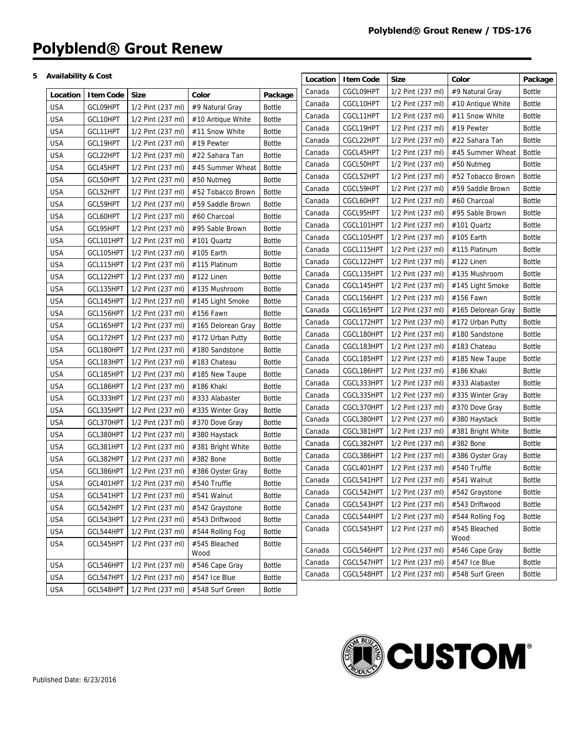# **5 Availability & Cost**

| CGCL09HPT<br><b>Bottle</b><br>Canada<br>1/2 Pint (237 ml)<br>#9 Natural Gray<br><b>Size</b><br>Color<br><b>Item Code</b><br>Package<br>Location<br>CGCL10HPT<br>1/2 Pint (237 ml)<br><b>Bottle</b><br>#10 Antique White<br>Canada<br><b>USA</b><br>GCL09HPT<br>1/2 Pint (237 ml)<br><b>Bottle</b><br>#9 Natural Gray<br><b>Bottle</b><br>CGCL11HPT<br>1/2 Pint (237 ml)<br>#11 Snow White<br>Canada<br><b>USA</b><br>GCL10HPT<br><b>Bottle</b><br>1/2 Pint (237 ml)<br>#10 Antique White<br><b>Bottle</b><br>CGCL19HPT<br>1/2 Pint (237 ml)<br>#19 Pewter<br>Canada<br><b>USA</b><br>GCL11HPT<br><b>Bottle</b><br>1/2 Pint (237 ml)<br>#11 Snow White<br><b>Bottle</b><br>CGCL22HPT<br>1/2 Pint (237 ml)<br>#22 Sahara Tan<br>Canada<br><b>USA</b><br>GCL19HPT<br>#19 Pewter<br><b>Bottle</b><br>1/2 Pint (237 ml)<br><b>Bottle</b><br>CGCL45HPT<br>1/2 Pint (237 ml)<br>#45 Summer Wheat<br>Canada<br><b>USA</b><br>GCL22HPT<br><b>Bottle</b><br>1/2 Pint (237 ml)<br>#22 Sahara Tan<br>CGCL50HPT<br>Bottle<br>1/2 Pint (237 ml)<br>#50 Nutmeg<br>Canada<br><b>USA</b><br>GCL45HPT<br><b>Bottle</b><br>1/2 Pint (237 ml)<br>#45 Summer Wheat<br><b>Bottle</b><br>CGCL52HPT<br>1/2 Pint (237 ml)<br>#52 Tobacco Brown<br>Canada<br><b>USA</b><br>GCL50HPT<br><b>Bottle</b><br>1/2 Pint (237 ml)<br>#50 Nutmeg<br><b>Bottle</b><br>CGCL59HPT<br>1/2 Pint (237 ml)<br>#59 Saddle Brown<br>Canada<br><b>USA</b><br>GCL52HPT<br>1/2 Pint (237 ml)<br>#52 Tobacco Brown<br><b>Bottle</b><br>CGCL60HPT<br>1/2 Pint (237 ml)<br>#60 Charcoal<br><b>Bottle</b><br>Canada<br><b>USA</b><br>GCL59HPT<br><b>Bottle</b><br>1/2 Pint (237 ml)<br>#59 Saddle Brown<br>CGCL95HPT<br>1/2 Pint (237 ml)<br>#95 Sable Brown<br><b>Bottle</b><br>Canada<br>USA<br>GCL60HPT<br><b>Bottle</b><br>1/2 Pint (237 ml)<br>#60 Charcoal<br>CGCL101HPT<br><b>Bottle</b><br>1/2 Pint (237 ml)<br>#101 Quartz<br>Canada<br><b>USA</b><br>GCL95HPT<br>1/2 Pint (237 ml)<br><b>Bottle</b><br>#95 Sable Brown<br>CGCL105HPT<br>1/2 Pint (237 ml)<br>#105 Earth<br><b>Bottle</b><br>Canada<br><b>USA</b><br>GCL101HPT<br>1/2 Pint (237 ml)<br>#101 Quartz<br><b>Bottle</b><br><b>Bottle</b><br>CGCL115HPT<br>1/2 Pint (237 ml)<br>#115 Platinum<br>Canada<br><b>USA</b><br><b>Bottle</b><br>GCL105HPT<br>1/2 Pint (237 ml)<br>#105 Earth<br>CGCL122HPT<br>1/2 Pint (237 ml)<br>#122 Linen<br><b>Bottle</b><br>Canada<br><b>USA</b><br>GCL115HPT<br>1/2 Pint (237 ml)<br>#115 Platinum<br><b>Bottle</b><br>CGCL135HPT<br>1/2 Pint (237 ml)<br>#135 Mushroom<br><b>Bottle</b><br>Canada<br><b>USA</b><br><b>Bottle</b><br>GCL122HPT<br>1/2 Pint (237 ml)<br>$#122$ Linen<br><b>Bottle</b><br>CGCL145HPT<br>1/2 Pint (237 ml)<br>#145 Light Smoke<br>Canada<br><b>USA</b><br>GCL135HPT<br>1/2 Pint (237 ml)<br>#135 Mushroom<br><b>Bottle</b><br>CGCL156HPT<br><b>Bottle</b><br>1/2 Pint (237 ml)<br>#156 Fawn<br>Canada<br><b>USA</b><br>GCL145HPT<br>1/2 Pint (237 ml)<br>#145 Light Smoke<br><b>Bottle</b><br>Bottle<br>CGCL165HPT<br>1/2 Pint (237 ml)<br>#165 Delorean Gray<br>Canada<br><b>USA</b><br><b>Bottle</b><br>GCL156HPT<br>1/2 Pint (237 ml)<br>#156 Fawn<br>CGCL172HPT<br>1/2 Pint (237 ml)<br>#172 Urban Putty<br><b>Bottle</b><br>Canada<br><b>USA</b><br>GCL165HPT<br>1/2 Pint (237 ml)<br>#165 Delorean Gray<br><b>Bottle</b><br>CGCL180HPT<br>1/2 Pint (237 ml)<br>#180 Sandstone<br><b>Bottle</b><br>Canada<br><b>USA</b><br>GCL172HPT<br>1/2 Pint (237 ml)<br>#172 Urban Putty<br><b>Bottle</b><br>CGCL183HPT<br><b>Bottle</b><br>1/2 Pint (237 ml)<br>#183 Chateau<br>Canada<br><b>USA</b><br><b>Bottle</b><br>GCL180HPT<br>1/2 Pint (237 ml)<br>#180 Sandstone<br>CGCL185HPT<br>1/2 Pint (237 ml)<br>#185 New Taupe<br><b>Bottle</b><br>Canada<br><b>USA</b><br>GCL183HPT<br><b>Bottle</b><br>1/2 Pint (237 ml)<br>#183 Chateau<br>CGCL186HPT<br>1/2 Pint (237 ml)<br>#186 Khaki<br><b>Bottle</b><br>Canada<br><b>USA</b><br><b>Bottle</b><br>GCL185HPT<br>1/2 Pint (237 ml)<br>#185 New Taupe<br>CGCL333HPT<br><b>Bottle</b><br>1/2 Pint (237 ml)<br>#333 Alabaster<br>Canada<br><b>USA</b><br>GCL186HPT<br>1/2 Pint (237 ml)<br><b>Bottle</b><br>#186 Khaki<br>CGCL335HPT<br><b>Bottle</b><br>1/2 Pint (237 ml)<br>#335 Winter Gray<br>Canada<br><b>USA</b><br>GCL333HPT<br><b>Bottle</b><br>1/2 Pint (237 ml)<br>#333 Alabaster<br>CGCL370HPT<br><b>Bottle</b><br>1/2 Pint (237 ml)<br>#370 Dove Gray<br>Canada<br><b>USA</b><br>GCL335HPT<br>1/2 Pint (237 ml)<br>#335 Winter Gray<br><b>Bottle</b><br>CGCL380HPT<br>1/2 Pint (237 ml)<br>#380 Haystack<br><b>Bottle</b><br>Canada<br><b>USA</b><br>GCL370HPT<br><b>Bottle</b><br>1/2 Pint (237 ml)<br>#370 Dove Gray<br>CGCL381HPT<br>1/2 Pint (237 ml)<br>#381 Bright White<br><b>Bottle</b><br>Canada<br><b>USA</b><br><b>Bottle</b><br>GCL380HPT<br>1/2 Pint (237 ml)<br>#380 Haystack<br>CGCL382HPT<br>#382 Bone<br><b>Bottle</b><br>1/2 Pint (237 ml)<br>Canada<br>GCL381HPT<br><b>Bottle</b><br>USA<br>1/2 Pint (237 ml)<br>#381 Bright White<br>CGCL386HPT<br>1/2 Pint (237 ml)<br><b>Bottle</b><br>Canada<br>#386 Oyster Gray<br><b>USA</b><br>GCL382HPT<br>#382 Bone<br><b>Bottle</b><br>1/2 Pint (237 ml)<br>CGCL401HPT<br>1/2 Pint (237 ml)<br>#540 Truffle<br><b>Bottle</b><br>Canada<br><b>USA</b><br>GCL386HPT<br>1/2 Pint (237 ml)<br>#386 Oyster Gray<br><b>Bottle</b><br>CGCL541HPT   1/2 Pint (237 ml)   #541 Walnut<br><b>Bottle</b><br>Canada<br>GCL401HPT 1/2 Pint (237 ml) #540 Truffle<br>Bottle<br><b>USA</b><br>CGCL542HPT<br>1/2 Pint (237 ml)<br>#542 Graystone<br><b>Bottle</b><br>Canada<br><b>USA</b><br>1/2 Pint (237 ml)<br>GCL541HPT<br>#541 Walnut<br><b>Bottle</b><br>#543 Driftwood<br><b>Bottle</b><br>CGCL543HPT<br>1/2 Pint (237 ml)<br>Canada<br><b>USA</b><br>GCL542HPT<br>1/2 Pint (237 ml)<br><b>Bottle</b><br>#542 Graystone<br>CGCL544HPT<br>1/2 Pint (237 ml)<br>#544 Rolling Fog<br><b>Bottle</b><br>Canada<br><b>USA</b><br>GCL543HPT<br>1/2 Pint (237 ml)<br>#543 Driftwood<br><b>Bottle</b><br>CGCL545HPT<br>1/2 Pint (237 ml)<br>#545 Bleached<br><b>Bottle</b><br>Canada<br>USA<br>GCL544HPT<br>1/2 Pint (237 ml)<br>#544 Rolling Fog<br><b>Bottle</b><br>Wood<br><b>USA</b><br>GCL545HPT<br>1/2 Pint (237 ml)<br>#545 Bleached<br><b>Bottle</b><br>CGCL546HPT<br>1/2 Pint (237 ml)<br>#546 Cape Gray<br><b>Bottle</b><br>Canada<br>Wood<br>CGCL547HPT<br>1/2 Pint (237 ml)<br>#547 Ice Blue<br><b>Bottle</b><br>Canada<br>USA<br>GCL546HPT<br>1/2 Pint (237 ml)<br>#546 Cape Gray<br><b>Bottle</b><br>CGCL548HPT<br>1/2 Pint (237 ml)<br>#548 Surf Green<br><b>Bottle</b><br>Canada<br><b>USA</b><br>GCL547HPT<br>1/2 Pint (237 ml)<br>#547 Ice Blue<br><b>Bottle</b> | <b>Availability &amp; Cost</b> |           |                   |                 |               | Location | <b>Item Code</b> | <b>Size</b> | Color | Package |
|----------------------------------------------------------------------------------------------------------------------------------------------------------------------------------------------------------------------------------------------------------------------------------------------------------------------------------------------------------------------------------------------------------------------------------------------------------------------------------------------------------------------------------------------------------------------------------------------------------------------------------------------------------------------------------------------------------------------------------------------------------------------------------------------------------------------------------------------------------------------------------------------------------------------------------------------------------------------------------------------------------------------------------------------------------------------------------------------------------------------------------------------------------------------------------------------------------------------------------------------------------------------------------------------------------------------------------------------------------------------------------------------------------------------------------------------------------------------------------------------------------------------------------------------------------------------------------------------------------------------------------------------------------------------------------------------------------------------------------------------------------------------------------------------------------------------------------------------------------------------------------------------------------------------------------------------------------------------------------------------------------------------------------------------------------------------------------------------------------------------------------------------------------------------------------------------------------------------------------------------------------------------------------------------------------------------------------------------------------------------------------------------------------------------------------------------------------------------------------------------------------------------------------------------------------------------------------------------------------------------------------------------------------------------------------------------------------------------------------------------------------------------------------------------------------------------------------------------------------------------------------------------------------------------------------------------------------------------------------------------------------------------------------------------------------------------------------------------------------------------------------------------------------------------------------------------------------------------------------------------------------------------------------------------------------------------------------------------------------------------------------------------------------------------------------------------------------------------------------------------------------------------------------------------------------------------------------------------------------------------------------------------------------------------------------------------------------------------------------------------------------------------------------------------------------------------------------------------------------------------------------------------------------------------------------------------------------------------------------------------------------------------------------------------------------------------------------------------------------------------------------------------------------------------------------------------------------------------------------------------------------------------------------------------------------------------------------------------------------------------------------------------------------------------------------------------------------------------------------------------------------------------------------------------------------------------------------------------------------------------------------------------------------------------------------------------------------------------------------------------------------------------------------------------------------------------------------------------------------------------------------------------------------------------------------------------------------------------------------------------------------------------------------------------------------------------------------------------------------------------------------------------------------------------------------------------------------------------------------------------------------------------------------------------------------------------------------------------------------------------------------------------------------------------------------------------------------------------------------------------------------------------------------------------------------------------------------------------------------------------------------------------------------------------------------------------------------------------------------------------------------------------------------------------------------------------------------------------------------------------------------------------------------------------------------------------------------------------------------------------------------------------------------------------------------------------------------------------------------------------------------------------------------------------------------------------------------------------------------------------------------------------------------------------------------------------------------------------------------------------------------------------------------------------------------------------------------------------------------------------------------------------------------------------------------------------------------------------------------------------------------------------------------------------|--------------------------------|-----------|-------------------|-----------------|---------------|----------|------------------|-------------|-------|---------|
|                                                                                                                                                                                                                                                                                                                                                                                                                                                                                                                                                                                                                                                                                                                                                                                                                                                                                                                                                                                                                                                                                                                                                                                                                                                                                                                                                                                                                                                                                                                                                                                                                                                                                                                                                                                                                                                                                                                                                                                                                                                                                                                                                                                                                                                                                                                                                                                                                                                                                                                                                                                                                                                                                                                                                                                                                                                                                                                                                                                                                                                                                                                                                                                                                                                                                                                                                                                                                                                                                                                                                                                                                                                                                                                                                                                                                                                                                                                                                                                                                                                                                                                                                                                                                                                                                                                                                                                                                                                                                                                                                                                                                                                                                                                                                                                                                                                                                                                                                                                                                                                                                                                                                                                                                                                                                                                                                                                                                                                                                                                                                                                                                                                                                                                                                                                                                                                                                                                                                                                                                                                                                                                                                                                                                                                                                                                                                                                                                                                                                                                                                                                                                                                                      |                                |           |                   |                 |               |          |                  |             |       |         |
|                                                                                                                                                                                                                                                                                                                                                                                                                                                                                                                                                                                                                                                                                                                                                                                                                                                                                                                                                                                                                                                                                                                                                                                                                                                                                                                                                                                                                                                                                                                                                                                                                                                                                                                                                                                                                                                                                                                                                                                                                                                                                                                                                                                                                                                                                                                                                                                                                                                                                                                                                                                                                                                                                                                                                                                                                                                                                                                                                                                                                                                                                                                                                                                                                                                                                                                                                                                                                                                                                                                                                                                                                                                                                                                                                                                                                                                                                                                                                                                                                                                                                                                                                                                                                                                                                                                                                                                                                                                                                                                                                                                                                                                                                                                                                                                                                                                                                                                                                                                                                                                                                                                                                                                                                                                                                                                                                                                                                                                                                                                                                                                                                                                                                                                                                                                                                                                                                                                                                                                                                                                                                                                                                                                                                                                                                                                                                                                                                                                                                                                                                                                                                                                                      |                                |           |                   |                 |               |          |                  |             |       |         |
|                                                                                                                                                                                                                                                                                                                                                                                                                                                                                                                                                                                                                                                                                                                                                                                                                                                                                                                                                                                                                                                                                                                                                                                                                                                                                                                                                                                                                                                                                                                                                                                                                                                                                                                                                                                                                                                                                                                                                                                                                                                                                                                                                                                                                                                                                                                                                                                                                                                                                                                                                                                                                                                                                                                                                                                                                                                                                                                                                                                                                                                                                                                                                                                                                                                                                                                                                                                                                                                                                                                                                                                                                                                                                                                                                                                                                                                                                                                                                                                                                                                                                                                                                                                                                                                                                                                                                                                                                                                                                                                                                                                                                                                                                                                                                                                                                                                                                                                                                                                                                                                                                                                                                                                                                                                                                                                                                                                                                                                                                                                                                                                                                                                                                                                                                                                                                                                                                                                                                                                                                                                                                                                                                                                                                                                                                                                                                                                                                                                                                                                                                                                                                                                                      |                                |           |                   |                 |               |          |                  |             |       |         |
|                                                                                                                                                                                                                                                                                                                                                                                                                                                                                                                                                                                                                                                                                                                                                                                                                                                                                                                                                                                                                                                                                                                                                                                                                                                                                                                                                                                                                                                                                                                                                                                                                                                                                                                                                                                                                                                                                                                                                                                                                                                                                                                                                                                                                                                                                                                                                                                                                                                                                                                                                                                                                                                                                                                                                                                                                                                                                                                                                                                                                                                                                                                                                                                                                                                                                                                                                                                                                                                                                                                                                                                                                                                                                                                                                                                                                                                                                                                                                                                                                                                                                                                                                                                                                                                                                                                                                                                                                                                                                                                                                                                                                                                                                                                                                                                                                                                                                                                                                                                                                                                                                                                                                                                                                                                                                                                                                                                                                                                                                                                                                                                                                                                                                                                                                                                                                                                                                                                                                                                                                                                                                                                                                                                                                                                                                                                                                                                                                                                                                                                                                                                                                                                                      |                                |           |                   |                 |               |          |                  |             |       |         |
|                                                                                                                                                                                                                                                                                                                                                                                                                                                                                                                                                                                                                                                                                                                                                                                                                                                                                                                                                                                                                                                                                                                                                                                                                                                                                                                                                                                                                                                                                                                                                                                                                                                                                                                                                                                                                                                                                                                                                                                                                                                                                                                                                                                                                                                                                                                                                                                                                                                                                                                                                                                                                                                                                                                                                                                                                                                                                                                                                                                                                                                                                                                                                                                                                                                                                                                                                                                                                                                                                                                                                                                                                                                                                                                                                                                                                                                                                                                                                                                                                                                                                                                                                                                                                                                                                                                                                                                                                                                                                                                                                                                                                                                                                                                                                                                                                                                                                                                                                                                                                                                                                                                                                                                                                                                                                                                                                                                                                                                                                                                                                                                                                                                                                                                                                                                                                                                                                                                                                                                                                                                                                                                                                                                                                                                                                                                                                                                                                                                                                                                                                                                                                                                                      |                                |           |                   |                 |               |          |                  |             |       |         |
|                                                                                                                                                                                                                                                                                                                                                                                                                                                                                                                                                                                                                                                                                                                                                                                                                                                                                                                                                                                                                                                                                                                                                                                                                                                                                                                                                                                                                                                                                                                                                                                                                                                                                                                                                                                                                                                                                                                                                                                                                                                                                                                                                                                                                                                                                                                                                                                                                                                                                                                                                                                                                                                                                                                                                                                                                                                                                                                                                                                                                                                                                                                                                                                                                                                                                                                                                                                                                                                                                                                                                                                                                                                                                                                                                                                                                                                                                                                                                                                                                                                                                                                                                                                                                                                                                                                                                                                                                                                                                                                                                                                                                                                                                                                                                                                                                                                                                                                                                                                                                                                                                                                                                                                                                                                                                                                                                                                                                                                                                                                                                                                                                                                                                                                                                                                                                                                                                                                                                                                                                                                                                                                                                                                                                                                                                                                                                                                                                                                                                                                                                                                                                                                                      |                                |           |                   |                 |               |          |                  |             |       |         |
|                                                                                                                                                                                                                                                                                                                                                                                                                                                                                                                                                                                                                                                                                                                                                                                                                                                                                                                                                                                                                                                                                                                                                                                                                                                                                                                                                                                                                                                                                                                                                                                                                                                                                                                                                                                                                                                                                                                                                                                                                                                                                                                                                                                                                                                                                                                                                                                                                                                                                                                                                                                                                                                                                                                                                                                                                                                                                                                                                                                                                                                                                                                                                                                                                                                                                                                                                                                                                                                                                                                                                                                                                                                                                                                                                                                                                                                                                                                                                                                                                                                                                                                                                                                                                                                                                                                                                                                                                                                                                                                                                                                                                                                                                                                                                                                                                                                                                                                                                                                                                                                                                                                                                                                                                                                                                                                                                                                                                                                                                                                                                                                                                                                                                                                                                                                                                                                                                                                                                                                                                                                                                                                                                                                                                                                                                                                                                                                                                                                                                                                                                                                                                                                                      |                                |           |                   |                 |               |          |                  |             |       |         |
|                                                                                                                                                                                                                                                                                                                                                                                                                                                                                                                                                                                                                                                                                                                                                                                                                                                                                                                                                                                                                                                                                                                                                                                                                                                                                                                                                                                                                                                                                                                                                                                                                                                                                                                                                                                                                                                                                                                                                                                                                                                                                                                                                                                                                                                                                                                                                                                                                                                                                                                                                                                                                                                                                                                                                                                                                                                                                                                                                                                                                                                                                                                                                                                                                                                                                                                                                                                                                                                                                                                                                                                                                                                                                                                                                                                                                                                                                                                                                                                                                                                                                                                                                                                                                                                                                                                                                                                                                                                                                                                                                                                                                                                                                                                                                                                                                                                                                                                                                                                                                                                                                                                                                                                                                                                                                                                                                                                                                                                                                                                                                                                                                                                                                                                                                                                                                                                                                                                                                                                                                                                                                                                                                                                                                                                                                                                                                                                                                                                                                                                                                                                                                                                                      |                                |           |                   |                 |               |          |                  |             |       |         |
|                                                                                                                                                                                                                                                                                                                                                                                                                                                                                                                                                                                                                                                                                                                                                                                                                                                                                                                                                                                                                                                                                                                                                                                                                                                                                                                                                                                                                                                                                                                                                                                                                                                                                                                                                                                                                                                                                                                                                                                                                                                                                                                                                                                                                                                                                                                                                                                                                                                                                                                                                                                                                                                                                                                                                                                                                                                                                                                                                                                                                                                                                                                                                                                                                                                                                                                                                                                                                                                                                                                                                                                                                                                                                                                                                                                                                                                                                                                                                                                                                                                                                                                                                                                                                                                                                                                                                                                                                                                                                                                                                                                                                                                                                                                                                                                                                                                                                                                                                                                                                                                                                                                                                                                                                                                                                                                                                                                                                                                                                                                                                                                                                                                                                                                                                                                                                                                                                                                                                                                                                                                                                                                                                                                                                                                                                                                                                                                                                                                                                                                                                                                                                                                                      |                                |           |                   |                 |               |          |                  |             |       |         |
|                                                                                                                                                                                                                                                                                                                                                                                                                                                                                                                                                                                                                                                                                                                                                                                                                                                                                                                                                                                                                                                                                                                                                                                                                                                                                                                                                                                                                                                                                                                                                                                                                                                                                                                                                                                                                                                                                                                                                                                                                                                                                                                                                                                                                                                                                                                                                                                                                                                                                                                                                                                                                                                                                                                                                                                                                                                                                                                                                                                                                                                                                                                                                                                                                                                                                                                                                                                                                                                                                                                                                                                                                                                                                                                                                                                                                                                                                                                                                                                                                                                                                                                                                                                                                                                                                                                                                                                                                                                                                                                                                                                                                                                                                                                                                                                                                                                                                                                                                                                                                                                                                                                                                                                                                                                                                                                                                                                                                                                                                                                                                                                                                                                                                                                                                                                                                                                                                                                                                                                                                                                                                                                                                                                                                                                                                                                                                                                                                                                                                                                                                                                                                                                                      |                                |           |                   |                 |               |          |                  |             |       |         |
|                                                                                                                                                                                                                                                                                                                                                                                                                                                                                                                                                                                                                                                                                                                                                                                                                                                                                                                                                                                                                                                                                                                                                                                                                                                                                                                                                                                                                                                                                                                                                                                                                                                                                                                                                                                                                                                                                                                                                                                                                                                                                                                                                                                                                                                                                                                                                                                                                                                                                                                                                                                                                                                                                                                                                                                                                                                                                                                                                                                                                                                                                                                                                                                                                                                                                                                                                                                                                                                                                                                                                                                                                                                                                                                                                                                                                                                                                                                                                                                                                                                                                                                                                                                                                                                                                                                                                                                                                                                                                                                                                                                                                                                                                                                                                                                                                                                                                                                                                                                                                                                                                                                                                                                                                                                                                                                                                                                                                                                                                                                                                                                                                                                                                                                                                                                                                                                                                                                                                                                                                                                                                                                                                                                                                                                                                                                                                                                                                                                                                                                                                                                                                                                                      |                                |           |                   |                 |               |          |                  |             |       |         |
|                                                                                                                                                                                                                                                                                                                                                                                                                                                                                                                                                                                                                                                                                                                                                                                                                                                                                                                                                                                                                                                                                                                                                                                                                                                                                                                                                                                                                                                                                                                                                                                                                                                                                                                                                                                                                                                                                                                                                                                                                                                                                                                                                                                                                                                                                                                                                                                                                                                                                                                                                                                                                                                                                                                                                                                                                                                                                                                                                                                                                                                                                                                                                                                                                                                                                                                                                                                                                                                                                                                                                                                                                                                                                                                                                                                                                                                                                                                                                                                                                                                                                                                                                                                                                                                                                                                                                                                                                                                                                                                                                                                                                                                                                                                                                                                                                                                                                                                                                                                                                                                                                                                                                                                                                                                                                                                                                                                                                                                                                                                                                                                                                                                                                                                                                                                                                                                                                                                                                                                                                                                                                                                                                                                                                                                                                                                                                                                                                                                                                                                                                                                                                                                                      |                                |           |                   |                 |               |          |                  |             |       |         |
|                                                                                                                                                                                                                                                                                                                                                                                                                                                                                                                                                                                                                                                                                                                                                                                                                                                                                                                                                                                                                                                                                                                                                                                                                                                                                                                                                                                                                                                                                                                                                                                                                                                                                                                                                                                                                                                                                                                                                                                                                                                                                                                                                                                                                                                                                                                                                                                                                                                                                                                                                                                                                                                                                                                                                                                                                                                                                                                                                                                                                                                                                                                                                                                                                                                                                                                                                                                                                                                                                                                                                                                                                                                                                                                                                                                                                                                                                                                                                                                                                                                                                                                                                                                                                                                                                                                                                                                                                                                                                                                                                                                                                                                                                                                                                                                                                                                                                                                                                                                                                                                                                                                                                                                                                                                                                                                                                                                                                                                                                                                                                                                                                                                                                                                                                                                                                                                                                                                                                                                                                                                                                                                                                                                                                                                                                                                                                                                                                                                                                                                                                                                                                                                                      |                                |           |                   |                 |               |          |                  |             |       |         |
|                                                                                                                                                                                                                                                                                                                                                                                                                                                                                                                                                                                                                                                                                                                                                                                                                                                                                                                                                                                                                                                                                                                                                                                                                                                                                                                                                                                                                                                                                                                                                                                                                                                                                                                                                                                                                                                                                                                                                                                                                                                                                                                                                                                                                                                                                                                                                                                                                                                                                                                                                                                                                                                                                                                                                                                                                                                                                                                                                                                                                                                                                                                                                                                                                                                                                                                                                                                                                                                                                                                                                                                                                                                                                                                                                                                                                                                                                                                                                                                                                                                                                                                                                                                                                                                                                                                                                                                                                                                                                                                                                                                                                                                                                                                                                                                                                                                                                                                                                                                                                                                                                                                                                                                                                                                                                                                                                                                                                                                                                                                                                                                                                                                                                                                                                                                                                                                                                                                                                                                                                                                                                                                                                                                                                                                                                                                                                                                                                                                                                                                                                                                                                                                                      |                                |           |                   |                 |               |          |                  |             |       |         |
|                                                                                                                                                                                                                                                                                                                                                                                                                                                                                                                                                                                                                                                                                                                                                                                                                                                                                                                                                                                                                                                                                                                                                                                                                                                                                                                                                                                                                                                                                                                                                                                                                                                                                                                                                                                                                                                                                                                                                                                                                                                                                                                                                                                                                                                                                                                                                                                                                                                                                                                                                                                                                                                                                                                                                                                                                                                                                                                                                                                                                                                                                                                                                                                                                                                                                                                                                                                                                                                                                                                                                                                                                                                                                                                                                                                                                                                                                                                                                                                                                                                                                                                                                                                                                                                                                                                                                                                                                                                                                                                                                                                                                                                                                                                                                                                                                                                                                                                                                                                                                                                                                                                                                                                                                                                                                                                                                                                                                                                                                                                                                                                                                                                                                                                                                                                                                                                                                                                                                                                                                                                                                                                                                                                                                                                                                                                                                                                                                                                                                                                                                                                                                                                                      |                                |           |                   |                 |               |          |                  |             |       |         |
|                                                                                                                                                                                                                                                                                                                                                                                                                                                                                                                                                                                                                                                                                                                                                                                                                                                                                                                                                                                                                                                                                                                                                                                                                                                                                                                                                                                                                                                                                                                                                                                                                                                                                                                                                                                                                                                                                                                                                                                                                                                                                                                                                                                                                                                                                                                                                                                                                                                                                                                                                                                                                                                                                                                                                                                                                                                                                                                                                                                                                                                                                                                                                                                                                                                                                                                                                                                                                                                                                                                                                                                                                                                                                                                                                                                                                                                                                                                                                                                                                                                                                                                                                                                                                                                                                                                                                                                                                                                                                                                                                                                                                                                                                                                                                                                                                                                                                                                                                                                                                                                                                                                                                                                                                                                                                                                                                                                                                                                                                                                                                                                                                                                                                                                                                                                                                                                                                                                                                                                                                                                                                                                                                                                                                                                                                                                                                                                                                                                                                                                                                                                                                                                                      |                                |           |                   |                 |               |          |                  |             |       |         |
|                                                                                                                                                                                                                                                                                                                                                                                                                                                                                                                                                                                                                                                                                                                                                                                                                                                                                                                                                                                                                                                                                                                                                                                                                                                                                                                                                                                                                                                                                                                                                                                                                                                                                                                                                                                                                                                                                                                                                                                                                                                                                                                                                                                                                                                                                                                                                                                                                                                                                                                                                                                                                                                                                                                                                                                                                                                                                                                                                                                                                                                                                                                                                                                                                                                                                                                                                                                                                                                                                                                                                                                                                                                                                                                                                                                                                                                                                                                                                                                                                                                                                                                                                                                                                                                                                                                                                                                                                                                                                                                                                                                                                                                                                                                                                                                                                                                                                                                                                                                                                                                                                                                                                                                                                                                                                                                                                                                                                                                                                                                                                                                                                                                                                                                                                                                                                                                                                                                                                                                                                                                                                                                                                                                                                                                                                                                                                                                                                                                                                                                                                                                                                                                                      |                                |           |                   |                 |               |          |                  |             |       |         |
|                                                                                                                                                                                                                                                                                                                                                                                                                                                                                                                                                                                                                                                                                                                                                                                                                                                                                                                                                                                                                                                                                                                                                                                                                                                                                                                                                                                                                                                                                                                                                                                                                                                                                                                                                                                                                                                                                                                                                                                                                                                                                                                                                                                                                                                                                                                                                                                                                                                                                                                                                                                                                                                                                                                                                                                                                                                                                                                                                                                                                                                                                                                                                                                                                                                                                                                                                                                                                                                                                                                                                                                                                                                                                                                                                                                                                                                                                                                                                                                                                                                                                                                                                                                                                                                                                                                                                                                                                                                                                                                                                                                                                                                                                                                                                                                                                                                                                                                                                                                                                                                                                                                                                                                                                                                                                                                                                                                                                                                                                                                                                                                                                                                                                                                                                                                                                                                                                                                                                                                                                                                                                                                                                                                                                                                                                                                                                                                                                                                                                                                                                                                                                                                                      |                                |           |                   |                 |               |          |                  |             |       |         |
|                                                                                                                                                                                                                                                                                                                                                                                                                                                                                                                                                                                                                                                                                                                                                                                                                                                                                                                                                                                                                                                                                                                                                                                                                                                                                                                                                                                                                                                                                                                                                                                                                                                                                                                                                                                                                                                                                                                                                                                                                                                                                                                                                                                                                                                                                                                                                                                                                                                                                                                                                                                                                                                                                                                                                                                                                                                                                                                                                                                                                                                                                                                                                                                                                                                                                                                                                                                                                                                                                                                                                                                                                                                                                                                                                                                                                                                                                                                                                                                                                                                                                                                                                                                                                                                                                                                                                                                                                                                                                                                                                                                                                                                                                                                                                                                                                                                                                                                                                                                                                                                                                                                                                                                                                                                                                                                                                                                                                                                                                                                                                                                                                                                                                                                                                                                                                                                                                                                                                                                                                                                                                                                                                                                                                                                                                                                                                                                                                                                                                                                                                                                                                                                                      |                                |           |                   |                 |               |          |                  |             |       |         |
|                                                                                                                                                                                                                                                                                                                                                                                                                                                                                                                                                                                                                                                                                                                                                                                                                                                                                                                                                                                                                                                                                                                                                                                                                                                                                                                                                                                                                                                                                                                                                                                                                                                                                                                                                                                                                                                                                                                                                                                                                                                                                                                                                                                                                                                                                                                                                                                                                                                                                                                                                                                                                                                                                                                                                                                                                                                                                                                                                                                                                                                                                                                                                                                                                                                                                                                                                                                                                                                                                                                                                                                                                                                                                                                                                                                                                                                                                                                                                                                                                                                                                                                                                                                                                                                                                                                                                                                                                                                                                                                                                                                                                                                                                                                                                                                                                                                                                                                                                                                                                                                                                                                                                                                                                                                                                                                                                                                                                                                                                                                                                                                                                                                                                                                                                                                                                                                                                                                                                                                                                                                                                                                                                                                                                                                                                                                                                                                                                                                                                                                                                                                                                                                                      |                                |           |                   |                 |               |          |                  |             |       |         |
|                                                                                                                                                                                                                                                                                                                                                                                                                                                                                                                                                                                                                                                                                                                                                                                                                                                                                                                                                                                                                                                                                                                                                                                                                                                                                                                                                                                                                                                                                                                                                                                                                                                                                                                                                                                                                                                                                                                                                                                                                                                                                                                                                                                                                                                                                                                                                                                                                                                                                                                                                                                                                                                                                                                                                                                                                                                                                                                                                                                                                                                                                                                                                                                                                                                                                                                                                                                                                                                                                                                                                                                                                                                                                                                                                                                                                                                                                                                                                                                                                                                                                                                                                                                                                                                                                                                                                                                                                                                                                                                                                                                                                                                                                                                                                                                                                                                                                                                                                                                                                                                                                                                                                                                                                                                                                                                                                                                                                                                                                                                                                                                                                                                                                                                                                                                                                                                                                                                                                                                                                                                                                                                                                                                                                                                                                                                                                                                                                                                                                                                                                                                                                                                                      |                                |           |                   |                 |               |          |                  |             |       |         |
|                                                                                                                                                                                                                                                                                                                                                                                                                                                                                                                                                                                                                                                                                                                                                                                                                                                                                                                                                                                                                                                                                                                                                                                                                                                                                                                                                                                                                                                                                                                                                                                                                                                                                                                                                                                                                                                                                                                                                                                                                                                                                                                                                                                                                                                                                                                                                                                                                                                                                                                                                                                                                                                                                                                                                                                                                                                                                                                                                                                                                                                                                                                                                                                                                                                                                                                                                                                                                                                                                                                                                                                                                                                                                                                                                                                                                                                                                                                                                                                                                                                                                                                                                                                                                                                                                                                                                                                                                                                                                                                                                                                                                                                                                                                                                                                                                                                                                                                                                                                                                                                                                                                                                                                                                                                                                                                                                                                                                                                                                                                                                                                                                                                                                                                                                                                                                                                                                                                                                                                                                                                                                                                                                                                                                                                                                                                                                                                                                                                                                                                                                                                                                                                                      |                                |           |                   |                 |               |          |                  |             |       |         |
|                                                                                                                                                                                                                                                                                                                                                                                                                                                                                                                                                                                                                                                                                                                                                                                                                                                                                                                                                                                                                                                                                                                                                                                                                                                                                                                                                                                                                                                                                                                                                                                                                                                                                                                                                                                                                                                                                                                                                                                                                                                                                                                                                                                                                                                                                                                                                                                                                                                                                                                                                                                                                                                                                                                                                                                                                                                                                                                                                                                                                                                                                                                                                                                                                                                                                                                                                                                                                                                                                                                                                                                                                                                                                                                                                                                                                                                                                                                                                                                                                                                                                                                                                                                                                                                                                                                                                                                                                                                                                                                                                                                                                                                                                                                                                                                                                                                                                                                                                                                                                                                                                                                                                                                                                                                                                                                                                                                                                                                                                                                                                                                                                                                                                                                                                                                                                                                                                                                                                                                                                                                                                                                                                                                                                                                                                                                                                                                                                                                                                                                                                                                                                                                                      |                                |           |                   |                 |               |          |                  |             |       |         |
|                                                                                                                                                                                                                                                                                                                                                                                                                                                                                                                                                                                                                                                                                                                                                                                                                                                                                                                                                                                                                                                                                                                                                                                                                                                                                                                                                                                                                                                                                                                                                                                                                                                                                                                                                                                                                                                                                                                                                                                                                                                                                                                                                                                                                                                                                                                                                                                                                                                                                                                                                                                                                                                                                                                                                                                                                                                                                                                                                                                                                                                                                                                                                                                                                                                                                                                                                                                                                                                                                                                                                                                                                                                                                                                                                                                                                                                                                                                                                                                                                                                                                                                                                                                                                                                                                                                                                                                                                                                                                                                                                                                                                                                                                                                                                                                                                                                                                                                                                                                                                                                                                                                                                                                                                                                                                                                                                                                                                                                                                                                                                                                                                                                                                                                                                                                                                                                                                                                                                                                                                                                                                                                                                                                                                                                                                                                                                                                                                                                                                                                                                                                                                                                                      |                                |           |                   |                 |               |          |                  |             |       |         |
|                                                                                                                                                                                                                                                                                                                                                                                                                                                                                                                                                                                                                                                                                                                                                                                                                                                                                                                                                                                                                                                                                                                                                                                                                                                                                                                                                                                                                                                                                                                                                                                                                                                                                                                                                                                                                                                                                                                                                                                                                                                                                                                                                                                                                                                                                                                                                                                                                                                                                                                                                                                                                                                                                                                                                                                                                                                                                                                                                                                                                                                                                                                                                                                                                                                                                                                                                                                                                                                                                                                                                                                                                                                                                                                                                                                                                                                                                                                                                                                                                                                                                                                                                                                                                                                                                                                                                                                                                                                                                                                                                                                                                                                                                                                                                                                                                                                                                                                                                                                                                                                                                                                                                                                                                                                                                                                                                                                                                                                                                                                                                                                                                                                                                                                                                                                                                                                                                                                                                                                                                                                                                                                                                                                                                                                                                                                                                                                                                                                                                                                                                                                                                                                                      |                                |           |                   |                 |               |          |                  |             |       |         |
|                                                                                                                                                                                                                                                                                                                                                                                                                                                                                                                                                                                                                                                                                                                                                                                                                                                                                                                                                                                                                                                                                                                                                                                                                                                                                                                                                                                                                                                                                                                                                                                                                                                                                                                                                                                                                                                                                                                                                                                                                                                                                                                                                                                                                                                                                                                                                                                                                                                                                                                                                                                                                                                                                                                                                                                                                                                                                                                                                                                                                                                                                                                                                                                                                                                                                                                                                                                                                                                                                                                                                                                                                                                                                                                                                                                                                                                                                                                                                                                                                                                                                                                                                                                                                                                                                                                                                                                                                                                                                                                                                                                                                                                                                                                                                                                                                                                                                                                                                                                                                                                                                                                                                                                                                                                                                                                                                                                                                                                                                                                                                                                                                                                                                                                                                                                                                                                                                                                                                                                                                                                                                                                                                                                                                                                                                                                                                                                                                                                                                                                                                                                                                                                                      |                                |           |                   |                 |               |          |                  |             |       |         |
|                                                                                                                                                                                                                                                                                                                                                                                                                                                                                                                                                                                                                                                                                                                                                                                                                                                                                                                                                                                                                                                                                                                                                                                                                                                                                                                                                                                                                                                                                                                                                                                                                                                                                                                                                                                                                                                                                                                                                                                                                                                                                                                                                                                                                                                                                                                                                                                                                                                                                                                                                                                                                                                                                                                                                                                                                                                                                                                                                                                                                                                                                                                                                                                                                                                                                                                                                                                                                                                                                                                                                                                                                                                                                                                                                                                                                                                                                                                                                                                                                                                                                                                                                                                                                                                                                                                                                                                                                                                                                                                                                                                                                                                                                                                                                                                                                                                                                                                                                                                                                                                                                                                                                                                                                                                                                                                                                                                                                                                                                                                                                                                                                                                                                                                                                                                                                                                                                                                                                                                                                                                                                                                                                                                                                                                                                                                                                                                                                                                                                                                                                                                                                                                                      |                                |           |                   |                 |               |          |                  |             |       |         |
|                                                                                                                                                                                                                                                                                                                                                                                                                                                                                                                                                                                                                                                                                                                                                                                                                                                                                                                                                                                                                                                                                                                                                                                                                                                                                                                                                                                                                                                                                                                                                                                                                                                                                                                                                                                                                                                                                                                                                                                                                                                                                                                                                                                                                                                                                                                                                                                                                                                                                                                                                                                                                                                                                                                                                                                                                                                                                                                                                                                                                                                                                                                                                                                                                                                                                                                                                                                                                                                                                                                                                                                                                                                                                                                                                                                                                                                                                                                                                                                                                                                                                                                                                                                                                                                                                                                                                                                                                                                                                                                                                                                                                                                                                                                                                                                                                                                                                                                                                                                                                                                                                                                                                                                                                                                                                                                                                                                                                                                                                                                                                                                                                                                                                                                                                                                                                                                                                                                                                                                                                                                                                                                                                                                                                                                                                                                                                                                                                                                                                                                                                                                                                                                                      |                                |           |                   |                 |               |          |                  |             |       |         |
|                                                                                                                                                                                                                                                                                                                                                                                                                                                                                                                                                                                                                                                                                                                                                                                                                                                                                                                                                                                                                                                                                                                                                                                                                                                                                                                                                                                                                                                                                                                                                                                                                                                                                                                                                                                                                                                                                                                                                                                                                                                                                                                                                                                                                                                                                                                                                                                                                                                                                                                                                                                                                                                                                                                                                                                                                                                                                                                                                                                                                                                                                                                                                                                                                                                                                                                                                                                                                                                                                                                                                                                                                                                                                                                                                                                                                                                                                                                                                                                                                                                                                                                                                                                                                                                                                                                                                                                                                                                                                                                                                                                                                                                                                                                                                                                                                                                                                                                                                                                                                                                                                                                                                                                                                                                                                                                                                                                                                                                                                                                                                                                                                                                                                                                                                                                                                                                                                                                                                                                                                                                                                                                                                                                                                                                                                                                                                                                                                                                                                                                                                                                                                                                                      |                                |           |                   |                 |               |          |                  |             |       |         |
|                                                                                                                                                                                                                                                                                                                                                                                                                                                                                                                                                                                                                                                                                                                                                                                                                                                                                                                                                                                                                                                                                                                                                                                                                                                                                                                                                                                                                                                                                                                                                                                                                                                                                                                                                                                                                                                                                                                                                                                                                                                                                                                                                                                                                                                                                                                                                                                                                                                                                                                                                                                                                                                                                                                                                                                                                                                                                                                                                                                                                                                                                                                                                                                                                                                                                                                                                                                                                                                                                                                                                                                                                                                                                                                                                                                                                                                                                                                                                                                                                                                                                                                                                                                                                                                                                                                                                                                                                                                                                                                                                                                                                                                                                                                                                                                                                                                                                                                                                                                                                                                                                                                                                                                                                                                                                                                                                                                                                                                                                                                                                                                                                                                                                                                                                                                                                                                                                                                                                                                                                                                                                                                                                                                                                                                                                                                                                                                                                                                                                                                                                                                                                                                                      |                                |           |                   |                 |               |          |                  |             |       |         |
|                                                                                                                                                                                                                                                                                                                                                                                                                                                                                                                                                                                                                                                                                                                                                                                                                                                                                                                                                                                                                                                                                                                                                                                                                                                                                                                                                                                                                                                                                                                                                                                                                                                                                                                                                                                                                                                                                                                                                                                                                                                                                                                                                                                                                                                                                                                                                                                                                                                                                                                                                                                                                                                                                                                                                                                                                                                                                                                                                                                                                                                                                                                                                                                                                                                                                                                                                                                                                                                                                                                                                                                                                                                                                                                                                                                                                                                                                                                                                                                                                                                                                                                                                                                                                                                                                                                                                                                                                                                                                                                                                                                                                                                                                                                                                                                                                                                                                                                                                                                                                                                                                                                                                                                                                                                                                                                                                                                                                                                                                                                                                                                                                                                                                                                                                                                                                                                                                                                                                                                                                                                                                                                                                                                                                                                                                                                                                                                                                                                                                                                                                                                                                                                                      |                                |           |                   |                 |               |          |                  |             |       |         |
|                                                                                                                                                                                                                                                                                                                                                                                                                                                                                                                                                                                                                                                                                                                                                                                                                                                                                                                                                                                                                                                                                                                                                                                                                                                                                                                                                                                                                                                                                                                                                                                                                                                                                                                                                                                                                                                                                                                                                                                                                                                                                                                                                                                                                                                                                                                                                                                                                                                                                                                                                                                                                                                                                                                                                                                                                                                                                                                                                                                                                                                                                                                                                                                                                                                                                                                                                                                                                                                                                                                                                                                                                                                                                                                                                                                                                                                                                                                                                                                                                                                                                                                                                                                                                                                                                                                                                                                                                                                                                                                                                                                                                                                                                                                                                                                                                                                                                                                                                                                                                                                                                                                                                                                                                                                                                                                                                                                                                                                                                                                                                                                                                                                                                                                                                                                                                                                                                                                                                                                                                                                                                                                                                                                                                                                                                                                                                                                                                                                                                                                                                                                                                                                                      |                                |           |                   |                 |               |          |                  |             |       |         |
|                                                                                                                                                                                                                                                                                                                                                                                                                                                                                                                                                                                                                                                                                                                                                                                                                                                                                                                                                                                                                                                                                                                                                                                                                                                                                                                                                                                                                                                                                                                                                                                                                                                                                                                                                                                                                                                                                                                                                                                                                                                                                                                                                                                                                                                                                                                                                                                                                                                                                                                                                                                                                                                                                                                                                                                                                                                                                                                                                                                                                                                                                                                                                                                                                                                                                                                                                                                                                                                                                                                                                                                                                                                                                                                                                                                                                                                                                                                                                                                                                                                                                                                                                                                                                                                                                                                                                                                                                                                                                                                                                                                                                                                                                                                                                                                                                                                                                                                                                                                                                                                                                                                                                                                                                                                                                                                                                                                                                                                                                                                                                                                                                                                                                                                                                                                                                                                                                                                                                                                                                                                                                                                                                                                                                                                                                                                                                                                                                                                                                                                                                                                                                                                                      |                                |           |                   |                 |               |          |                  |             |       |         |
|                                                                                                                                                                                                                                                                                                                                                                                                                                                                                                                                                                                                                                                                                                                                                                                                                                                                                                                                                                                                                                                                                                                                                                                                                                                                                                                                                                                                                                                                                                                                                                                                                                                                                                                                                                                                                                                                                                                                                                                                                                                                                                                                                                                                                                                                                                                                                                                                                                                                                                                                                                                                                                                                                                                                                                                                                                                                                                                                                                                                                                                                                                                                                                                                                                                                                                                                                                                                                                                                                                                                                                                                                                                                                                                                                                                                                                                                                                                                                                                                                                                                                                                                                                                                                                                                                                                                                                                                                                                                                                                                                                                                                                                                                                                                                                                                                                                                                                                                                                                                                                                                                                                                                                                                                                                                                                                                                                                                                                                                                                                                                                                                                                                                                                                                                                                                                                                                                                                                                                                                                                                                                                                                                                                                                                                                                                                                                                                                                                                                                                                                                                                                                                                                      |                                |           |                   |                 |               |          |                  |             |       |         |
|                                                                                                                                                                                                                                                                                                                                                                                                                                                                                                                                                                                                                                                                                                                                                                                                                                                                                                                                                                                                                                                                                                                                                                                                                                                                                                                                                                                                                                                                                                                                                                                                                                                                                                                                                                                                                                                                                                                                                                                                                                                                                                                                                                                                                                                                                                                                                                                                                                                                                                                                                                                                                                                                                                                                                                                                                                                                                                                                                                                                                                                                                                                                                                                                                                                                                                                                                                                                                                                                                                                                                                                                                                                                                                                                                                                                                                                                                                                                                                                                                                                                                                                                                                                                                                                                                                                                                                                                                                                                                                                                                                                                                                                                                                                                                                                                                                                                                                                                                                                                                                                                                                                                                                                                                                                                                                                                                                                                                                                                                                                                                                                                                                                                                                                                                                                                                                                                                                                                                                                                                                                                                                                                                                                                                                                                                                                                                                                                                                                                                                                                                                                                                                                                      |                                |           |                   |                 |               |          |                  |             |       |         |
|                                                                                                                                                                                                                                                                                                                                                                                                                                                                                                                                                                                                                                                                                                                                                                                                                                                                                                                                                                                                                                                                                                                                                                                                                                                                                                                                                                                                                                                                                                                                                                                                                                                                                                                                                                                                                                                                                                                                                                                                                                                                                                                                                                                                                                                                                                                                                                                                                                                                                                                                                                                                                                                                                                                                                                                                                                                                                                                                                                                                                                                                                                                                                                                                                                                                                                                                                                                                                                                                                                                                                                                                                                                                                                                                                                                                                                                                                                                                                                                                                                                                                                                                                                                                                                                                                                                                                                                                                                                                                                                                                                                                                                                                                                                                                                                                                                                                                                                                                                                                                                                                                                                                                                                                                                                                                                                                                                                                                                                                                                                                                                                                                                                                                                                                                                                                                                                                                                                                                                                                                                                                                                                                                                                                                                                                                                                                                                                                                                                                                                                                                                                                                                                                      |                                |           |                   |                 |               |          |                  |             |       |         |
|                                                                                                                                                                                                                                                                                                                                                                                                                                                                                                                                                                                                                                                                                                                                                                                                                                                                                                                                                                                                                                                                                                                                                                                                                                                                                                                                                                                                                                                                                                                                                                                                                                                                                                                                                                                                                                                                                                                                                                                                                                                                                                                                                                                                                                                                                                                                                                                                                                                                                                                                                                                                                                                                                                                                                                                                                                                                                                                                                                                                                                                                                                                                                                                                                                                                                                                                                                                                                                                                                                                                                                                                                                                                                                                                                                                                                                                                                                                                                                                                                                                                                                                                                                                                                                                                                                                                                                                                                                                                                                                                                                                                                                                                                                                                                                                                                                                                                                                                                                                                                                                                                                                                                                                                                                                                                                                                                                                                                                                                                                                                                                                                                                                                                                                                                                                                                                                                                                                                                                                                                                                                                                                                                                                                                                                                                                                                                                                                                                                                                                                                                                                                                                                                      |                                |           |                   |                 |               |          |                  |             |       |         |
|                                                                                                                                                                                                                                                                                                                                                                                                                                                                                                                                                                                                                                                                                                                                                                                                                                                                                                                                                                                                                                                                                                                                                                                                                                                                                                                                                                                                                                                                                                                                                                                                                                                                                                                                                                                                                                                                                                                                                                                                                                                                                                                                                                                                                                                                                                                                                                                                                                                                                                                                                                                                                                                                                                                                                                                                                                                                                                                                                                                                                                                                                                                                                                                                                                                                                                                                                                                                                                                                                                                                                                                                                                                                                                                                                                                                                                                                                                                                                                                                                                                                                                                                                                                                                                                                                                                                                                                                                                                                                                                                                                                                                                                                                                                                                                                                                                                                                                                                                                                                                                                                                                                                                                                                                                                                                                                                                                                                                                                                                                                                                                                                                                                                                                                                                                                                                                                                                                                                                                                                                                                                                                                                                                                                                                                                                                                                                                                                                                                                                                                                                                                                                                                                      |                                |           |                   |                 |               |          |                  |             |       |         |
|                                                                                                                                                                                                                                                                                                                                                                                                                                                                                                                                                                                                                                                                                                                                                                                                                                                                                                                                                                                                                                                                                                                                                                                                                                                                                                                                                                                                                                                                                                                                                                                                                                                                                                                                                                                                                                                                                                                                                                                                                                                                                                                                                                                                                                                                                                                                                                                                                                                                                                                                                                                                                                                                                                                                                                                                                                                                                                                                                                                                                                                                                                                                                                                                                                                                                                                                                                                                                                                                                                                                                                                                                                                                                                                                                                                                                                                                                                                                                                                                                                                                                                                                                                                                                                                                                                                                                                                                                                                                                                                                                                                                                                                                                                                                                                                                                                                                                                                                                                                                                                                                                                                                                                                                                                                                                                                                                                                                                                                                                                                                                                                                                                                                                                                                                                                                                                                                                                                                                                                                                                                                                                                                                                                                                                                                                                                                                                                                                                                                                                                                                                                                                                                                      |                                |           |                   |                 |               |          |                  |             |       |         |
|                                                                                                                                                                                                                                                                                                                                                                                                                                                                                                                                                                                                                                                                                                                                                                                                                                                                                                                                                                                                                                                                                                                                                                                                                                                                                                                                                                                                                                                                                                                                                                                                                                                                                                                                                                                                                                                                                                                                                                                                                                                                                                                                                                                                                                                                                                                                                                                                                                                                                                                                                                                                                                                                                                                                                                                                                                                                                                                                                                                                                                                                                                                                                                                                                                                                                                                                                                                                                                                                                                                                                                                                                                                                                                                                                                                                                                                                                                                                                                                                                                                                                                                                                                                                                                                                                                                                                                                                                                                                                                                                                                                                                                                                                                                                                                                                                                                                                                                                                                                                                                                                                                                                                                                                                                                                                                                                                                                                                                                                                                                                                                                                                                                                                                                                                                                                                                                                                                                                                                                                                                                                                                                                                                                                                                                                                                                                                                                                                                                                                                                                                                                                                                                                      |                                |           |                   |                 |               |          |                  |             |       |         |
|                                                                                                                                                                                                                                                                                                                                                                                                                                                                                                                                                                                                                                                                                                                                                                                                                                                                                                                                                                                                                                                                                                                                                                                                                                                                                                                                                                                                                                                                                                                                                                                                                                                                                                                                                                                                                                                                                                                                                                                                                                                                                                                                                                                                                                                                                                                                                                                                                                                                                                                                                                                                                                                                                                                                                                                                                                                                                                                                                                                                                                                                                                                                                                                                                                                                                                                                                                                                                                                                                                                                                                                                                                                                                                                                                                                                                                                                                                                                                                                                                                                                                                                                                                                                                                                                                                                                                                                                                                                                                                                                                                                                                                                                                                                                                                                                                                                                                                                                                                                                                                                                                                                                                                                                                                                                                                                                                                                                                                                                                                                                                                                                                                                                                                                                                                                                                                                                                                                                                                                                                                                                                                                                                                                                                                                                                                                                                                                                                                                                                                                                                                                                                                                                      | USA                            | GCL548HPT | 1/2 Pint (237 ml) | #548 Surf Green | <b>Bottle</b> |          |                  |             |       |         |

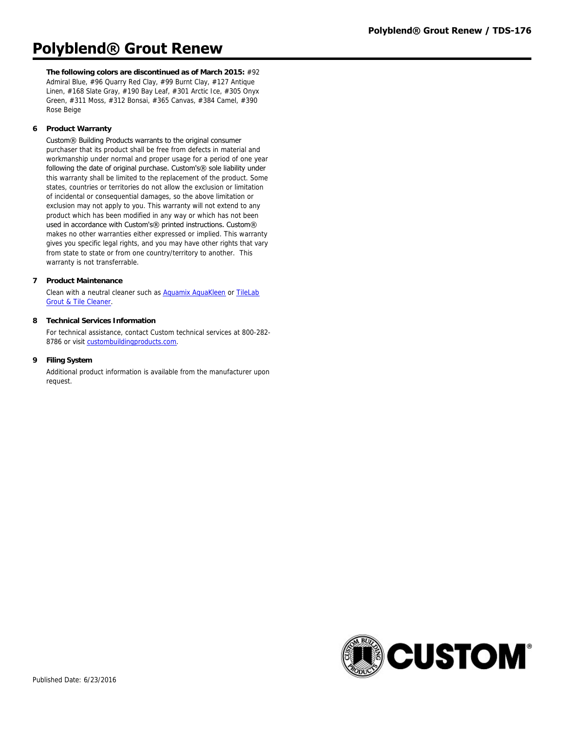**The following colors are discontinued as of March 2015:** #92 Admiral Blue, #96 Quarry Red Clay, #99 Burnt Clay, #127 Antique Linen, #168 Slate Gray, #190 Bay Leaf, #301 Arctic Ice, #305 Onyx Green, #311 Moss, #312 Bonsai, #365 Canvas, #384 Camel, #390 Rose Beige

# **6 Product Warranty**

Custom® Building Products warrants to the original consumer purchaser that its product shall be free from defects in material and workmanship under normal and proper usage for a period of one year following the date of original purchase. Custom's® sole liability under this warranty shall be limited to the replacement of the product. Some states, countries or territories do not allow the exclusion or limitation of incidental or consequential damages, so the above limitation or exclusion may not apply to you. This warranty will not extend to any product which has been modified in any way or which has not been used in accordance with Custom's® printed instructions. Custom® makes no other warranties either expressed or implied. This warranty gives you specific legal rights, and you may have other rights that vary from state to state or from one country/territory to another. This warranty is not transferrable.

### **7 Product Maintenance**

[Clean with a neutral cleaner such as Aquamix AquaKleen or TileLab](http://www.custombuildingproducts.com:80/products/care-maintenance/cleaners/tilelab/tilelab-grout-tile-cleaner.aspx) Grout & Tile Cleaner.

# **8 Technical Services Information**

For technical assistance, contact Custom technical services at 800-282- 8786 or visit [custombuildingproducts.com](http://www.custombuildingproducts.com:80/support/contact-us.aspx).

### **9 Filing System**

Additional product information is available from the manufacturer upon request.